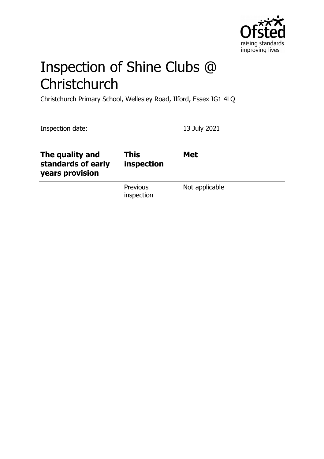

# Inspection of Shine Clubs @ **Christchurch**

Christchurch Primary School, Wellesley Road, Ilford, Essex IG1 4LQ

| Inspection date:                                         |                           | 13 July 2021   |
|----------------------------------------------------------|---------------------------|----------------|
| The quality and<br>standards of early<br>years provision | <b>This</b><br>inspection | <b>Met</b>     |
|                                                          | Previous<br>inspection    | Not applicable |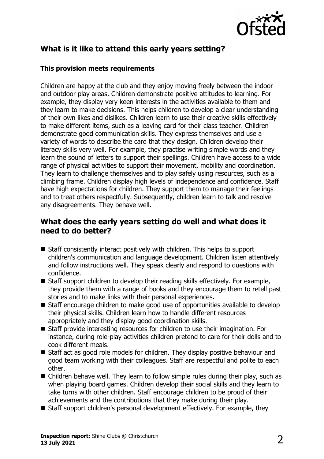

# **What is it like to attend this early years setting?**

#### **This provision meets requirements**

Children are happy at the club and they enjoy moving freely between the indoor and outdoor play areas. Children demonstrate positive attitudes to learning. For example, they display very keen interests in the activities available to them and they learn to make decisions. This helps children to develop a clear understanding of their own likes and dislikes. Children learn to use their creative skills effectively to make different items, such as a leaving card for their class teacher. Children demonstrate good communication skills. They express themselves and use a variety of words to describe the card that they design. Children develop their literacy skills very well. For example, they practise writing simple words and they learn the sound of letters to support their spellings. Children have access to a wide range of physical activities to support their movement, mobility and coordination. They learn to challenge themselves and to play safely using resources, such as a climbing frame. Children display high levels of independence and confidence. Staff have high expectations for children. They support them to manage their feelings and to treat others respectfully. Subsequently, children learn to talk and resolve any disagreements. They behave well.

### **What does the early years setting do well and what does it need to do better?**

- $\blacksquare$  Staff consistently interact positively with children. This helps to support children's communication and language development. Children listen attentively and follow instructions well. They speak clearly and respond to questions with confidence.
- $\blacksquare$  Staff support children to develop their reading skills effectively. For example, they provide them with a range of books and they encourage them to retell past stories and to make links with their personal experiences.
- $\blacksquare$  Staff encourage children to make good use of opportunities available to develop their physical skills. Children learn how to handle different resources appropriately and they display good coordination skills.
- $\blacksquare$  Staff provide interesting resources for children to use their imagination. For instance, during role-play activities children pretend to care for their dolls and to cook different meals.
- $\blacksquare$  Staff act as good role models for children. They display positive behaviour and good team working with their colleagues. Staff are respectful and polite to each other.
- $\blacksquare$  Children behave well. They learn to follow simple rules during their play, such as when playing board games. Children develop their social skills and they learn to take turns with other children. Staff encourage children to be proud of their achievements and the contributions that they make during their play.
- Staff support children's personal development effectively. For example, they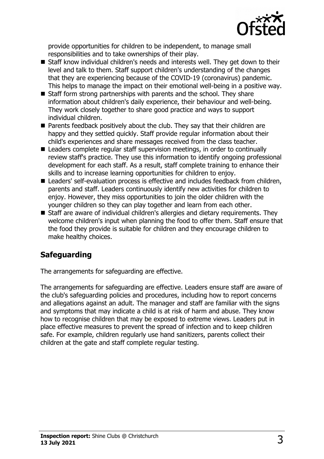

provide opportunities for children to be independent, to manage small responsibilities and to take ownerships of their play.

- Staff know individual children's needs and interests well. They get down to their level and talk to them. Staff support children's understanding of the changes that they are experiencing because of the COVID-19 (coronavirus) pandemic. This helps to manage the impact on their emotional well-being in a positive way.
- $\blacksquare$  Staff form strong partnerships with parents and the school. They share information about children's daily experience, their behaviour and well-being. They work closely together to share good practice and ways to support individual children.
- $\blacksquare$  Parents feedback positively about the club. They say that their children are happy and they settled quickly. Staff provide regular information about their child's experiences and share messages received from the class teacher.
- $\blacksquare$  Leaders complete regular staff supervision meetings, in order to continually review staff's practice. They use this information to identify ongoing professional development for each staff. As a result, staff complete training to enhance their skills and to increase learning opportunities for children to enjoy.
- Leaders' self-evaluation process is effective and includes feedback from children, parents and staff. Leaders continuously identify new activities for children to enjoy. However, they miss opportunities to join the older children with the younger children so they can play together and learn from each other.
- Staff are aware of individual children's allergies and dietary requirements. They welcome children's input when planning the food to offer them. Staff ensure that the food they provide is suitable for children and they encourage children to make healthy choices.

# **Safeguarding**

The arrangements for safeguarding are effective.

The arrangements for safeguarding are effective. Leaders ensure staff are aware of the club's safeguarding policies and procedures, including how to report concerns and allegations against an adult. The manager and staff are familiar with the signs and symptoms that may indicate a child is at risk of harm and abuse. They know how to recognise children that may be exposed to extreme views. Leaders put in place effective measures to prevent the spread of infection and to keep children safe. For example, children regularly use hand sanitizers, parents collect their children at the gate and staff complete regular testing.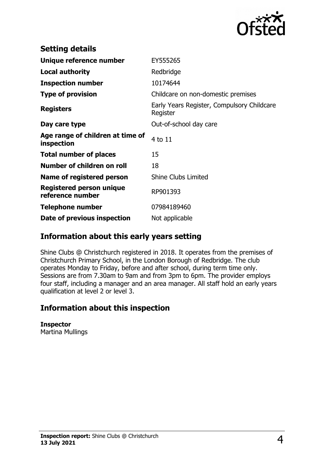

| <b>Setting details</b>                         |                                                        |
|------------------------------------------------|--------------------------------------------------------|
| Unique reference number                        | EY555265                                               |
| <b>Local authority</b>                         | Redbridge                                              |
| <b>Inspection number</b>                       | 10174644                                               |
| <b>Type of provision</b>                       | Childcare on non-domestic premises                     |
| <b>Registers</b>                               | Early Years Register, Compulsory Childcare<br>Register |
| Day care type                                  | Out-of-school day care                                 |
| Age range of children at time of<br>inspection | 4 to 11                                                |
| <b>Total number of places</b>                  | 15                                                     |
| Number of children on roll                     | 18                                                     |
| Name of registered person                      | <b>Shine Clubs Limited</b>                             |
| Registered person unique<br>reference number   | RP901393                                               |
| <b>Telephone number</b>                        | 07984189460                                            |
| Date of previous inspection                    | Not applicable                                         |

## **Information about this early years setting**

Shine Clubs @ Christchurch registered in 2018. It operates from the premises of Christchurch Primary School, in the London Borough of Redbridge. The club operates Monday to Friday, before and after school, during term time only. Sessions are from 7.30am to 9am and from 3pm to 6pm. The provider employs four staff, including a manager and an area manager. All staff hold an early years qualification at level 2 or level 3.

## **Information about this inspection**

**Inspector** Martina Mullings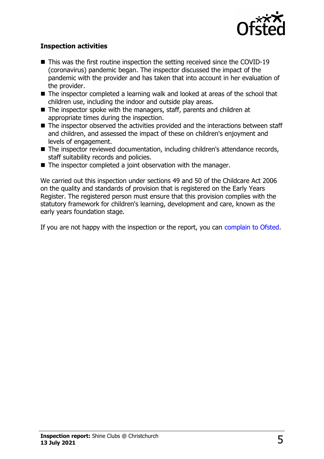

#### **Inspection activities**

- $\blacksquare$  This was the first routine inspection the setting received since the COVID-19 (coronavirus) pandemic began. The inspector discussed the impact of the pandemic with the provider and has taken that into account in her evaluation of the provider.
- $\blacksquare$  The inspector completed a learning walk and looked at areas of the school that children use, including the indoor and outside play areas.
- $\blacksquare$  The inspector spoke with the managers, staff, parents and children at appropriate times during the inspection.
- $\blacksquare$  The inspector observed the activities provided and the interactions between staff and children, and assessed the impact of these on children's enjoyment and levels of engagement.
- The inspector reviewed documentation, including children's attendance records, staff suitability records and policies.
- $\blacksquare$  The inspector completed a joint observation with the manager.

We carried out this inspection under sections 49 and 50 of the Childcare Act 2006 on the quality and standards of provision that is registered on the Early Years Register. The registered person must ensure that this provision complies with the statutory framework for children's learning, development and care, known as the early years foundation stage.

If you are not happy with the inspection or the report, you can [complain to Ofsted.](http://www.gov.uk/complain-ofsted-report)